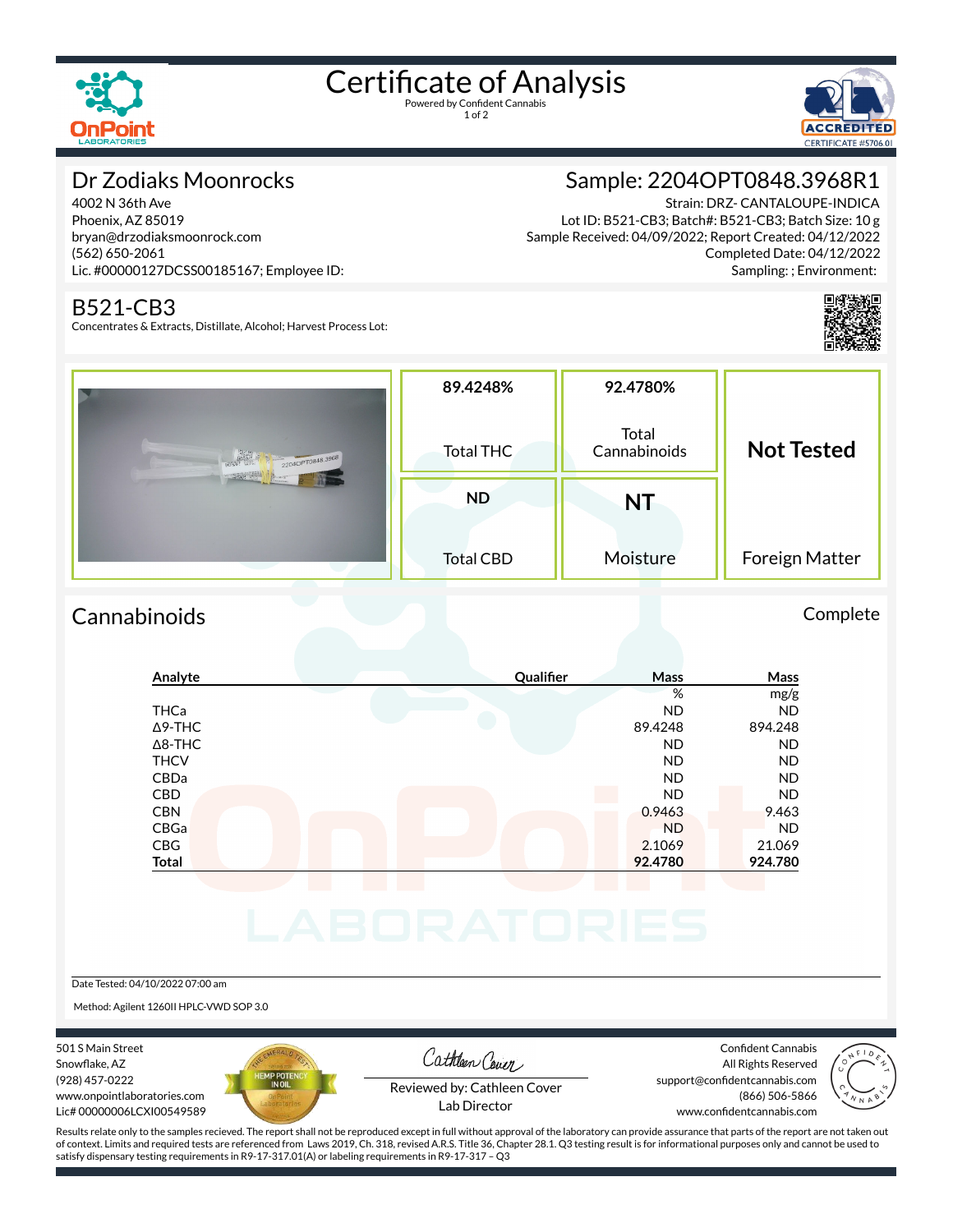

# Certificate of Analysis

1 of 2



# Dr Zodiaks Moonrocks

4002 N 36th Ave Phoenix, AZ 85019 bryan@drzodiaksmoonrock.com (562) 650-2061 Lic. #00000127DCSS00185167; Employee ID:

#### B521-CB3

Concentrates & Extracts, Distillate, Alcohol; Harvest Process Lot:

# Sample: 2204OPT0848.3968R1

Strain: DRZ- CANTALOUPE-INDICA Lot ID: B521-CB3; Batch#: B521-CB3; Batch Size: 10 g Sample Received: 04/09/2022; Report Created: 04/12/2022 Completed Date: 04/12/2022 Sampling: ; Environment:



| 2204OPT0848.3968 | 89.4248%<br>Total THC | 92.4780%<br>Total<br>Cannabinoids | <b>Not Tested</b> |  |
|------------------|-----------------------|-----------------------------------|-------------------|--|
|                  | <b>ND</b>             | <b>NT</b>                         |                   |  |
|                  | <b>Total CBD</b>      | Moisture                          | Foreign Matter    |  |

# Cannabinoids Complete

### **Analyte Qualier Mass Mass** % mg/g THCa ND ND Δ9-THC 89.4248 894.248 Δ8-THC ND ND THCV ND ND CBDa ND ND CBD A RESIDENCE OF A RESIDENCE OF A RESIDENCE OF A RESIDENCE OF A RESIDENCE OF A RESIDENCE OF A RESIDENCE OF A CBN 0.9463 9.463 CBGa ND ND CBG 2.1069 21.069 **Total 92.4780 924.780**

Date Tested: 04/10/2022 07:00 am

Method: Agilent 1260II HPLC-VWD SOP 3.0

501 S Main Street Snowflake, AZ (928) 457-0222 www.onpointlaboratories.com Lic# 00000006LCXI00549589



Cathleen Cover

Confident Cannabis All Rights Reserved support@confidentcannabis.com (866) 506-5866



Reviewed by: Cathleen Cover Lab Director

www.confidentcannabis.com

Results relate only to the samples recieved. The report shall not be reproduced except in full without approval of the laboratory can provide assurance that parts of the report are not taken out of context. Limits and required tests are referenced from Laws 2019, Ch. 318, revised A.R.S. Title 36, Chapter 28.1. Q3 testing result is for informational purposes only and cannot be used to satisfy dispensary testing requirements in R9-17-317.01(A) or labeling requirements in R9-17-317 – Q3